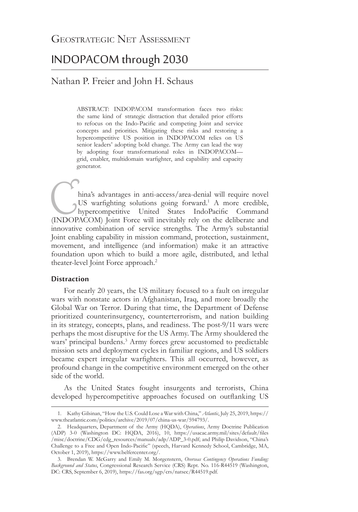# INDOPACOM through 2030

# Nathan P. Freier and John H. Schaus

ABSTRACT: INDOPACOM transformation faces two risks: the same kind of strategic distraction that derailed prior efforts to refocus on the Indo-Pacific and competing Joint and service concepts and priorities. Mitigating these risks and restoring a hypercompetitive US position in INDOPACOM relies on US senior leaders' adopting bold change. The Army can lead the way by adopting four transformational roles in INDOPACOM grid, enabler, multidomain warfighter, and capability and capacity generator.

hina's advantages in anti-access/area-denial will require novel<br>
US warfighting solutions going forward.<sup>1</sup> A more credible,<br>
hypercompetitive United States IndoPacific Command<br>
(INDOPACOM) Joint Force will inevitably rely US warfighting solutions going forward.<sup>1</sup> A more credible, hypercompetitive United States IndoPacific Command innovative combination of service strengths. The Army's substantial Joint enabling capability in mission command, protection, sustainment, movement, and intelligence (and information) make it an attractive foundation upon which to build a more agile, distributed, and lethal theater-level Joint Force approach.<sup>2</sup>

# **Distraction**

For nearly 20 years, the US military focused to a fault on irregular wars with nonstate actors in Afghanistan, Iraq, and more broadly the Global War on Terror. During that time, the Department of Defense prioritized counterinsurgency, counterterrorism, and nation building in its strategy, concepts, plans, and readiness. The post-9/11 wars were perhaps the most disruptive for the US Army. The Army shouldered the wars' principal burdens.<sup>3</sup> Army forces grew accustomed to predictable mission sets and deployment cycles in familiar regions, and US soldiers became expert irregular warfighters. This all occurred, however, as profound change in the competitive environment emerged on the other side of the world.

As the United States fought insurgents and terrorists, China developed hypercompetitive approaches focused on outflanking US

<sup>1.</sup> Kathy Gilsinan, "How the U.S. Could Lose a War with China," *Atlantic*, July 25, 2019, [https://](https://www.theatlantic.com/politics/archive/2019/07/china-us-war/594793/) [www.theatlantic.com/politics/archive/2019/07/china-us-war/594793/](https://www.theatlantic.com/politics/archive/2019/07/china-us-war/594793/).

<sup>2.</sup> Headquarters, Department of the Army (HQDA), *Operations*, Army Doctrine Publication (ADP) 3-0 (Washington DC: HQDA, 2016), 10, [https://usacac.army.mil/sites/default/files](https://usacac.army.mil/sites/default/files/misc/doctrine/CDG/cdg_resources/manuals/adp/ADP_3-0.pdf) [/misc/doctrine/CDG/cdg\\_resources/manuals/adp/ADP\\_3-0.pdf;](https://usacac.army.mil/sites/default/files/misc/doctrine/CDG/cdg_resources/manuals/adp/ADP_3-0.pdf) and Philip Davidson, "China's Challenge to a Free and Open Indo-Pacific" (speech, Harvard Kennedy School, Cambridge, MA, October 1, 2019), [https://www.belfercenter.org/](https://www.belfercenter.org/publication/chinas-challenge-free-and-open-indo-pacific).

<sup>3.</sup> Brendan W. McGarry and Emily M. Morgenstern, *Overseas Contingency Operations Funding: Background and Status*, Congressional Research Service (CRS) Rept. No. 116-R44519 (Washington, DC: CRS, September 6, 2019), <https://fas.org/sgp/crs/natsec/R44519.pdf>.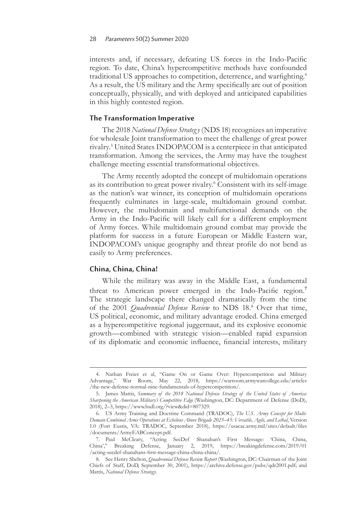interests and, if necessary, defeating US forces in the Indo-Pacific region. To date, China's hypercompetitive methods have confounded traditional US approaches to competition, deterrence, and warfighting.4 As a result, the US military and the Army specifically are out of position conceptually, physically, and with deployed and anticipated capabilities in this highly contested region.

# **The Transformation Imperative**

The 2018 *National Defense Strateg y* (NDS 18) recognizes an imperative for wholesale Joint transformation to meet the challenge of great power rivalry.<sup>5</sup> United States INDOPACOM is a centerpiece in that anticipated transformation. Among the services, the Army may have the toughest challenge meeting essential transformational objectives.

The Army recently adopted the concept of multidomain operations as its contribution to great power rivalry.<sup>6</sup> Consistent with its self-image as the nation's war winner, its conception of multidomain operations frequently culminates in large-scale, multidomain ground combat. However, the multidomain and multifunctional demands on the Army in the Indo-Pacific will likely call for a different employment of Army forces. While multidomain ground combat may provide the platform for success in a future European or Middle Eastern war, INDOPACOM's unique geography and threat profile do not bend as easily to Army preferences.

## **China, China, China!**

While the military was away in the Middle East, a fundamental threat to American power emerged in the Indo-Pacific region.**<sup>7</sup>** The strategic landscape there changed dramatically from the time of the 2001 *Quadrennial Defense Review* to NDS 18.<sup>8</sup> Over that time, US political, economic, and military advantage eroded. China emerged as a hypercompetitive regional juggernaut, and its explosive economic growth—combined with strategic vision—enabled rapid expansion of its diplomatic and economic influence, financial interests, military

<sup>4.</sup> Nathan Freier et al, "Game On or Game Over: Hypercompetition and Military Advantage," War Room, May 22, 2018, [https://warroom.armywarcollege.edu/articles](https://warroom.armywarcollege.edu/articles/the-new-defense-normal-nine-fundamentals-of-hypercompetition/) [/the-new-defense-normal-nine-fundamentals-of-hypercompetition/](https://warroom.armywarcollege.edu/articles/the-new-defense-normal-nine-fundamentals-of-hypercompetition/).

<sup>5.</sup> James Mattis, *Summary of the 2018 National Defense Strategy of the United States of America: Sharpening the American Military's Competitive Edge* (Washington, DC: Department of Defense (DoD), 2018), 2–3, <https://www.hsdl.org/?view&did=807329>.

<sup>6.</sup> US Army Training and Doctrine Command (TRADOC), *The U.S. Army Concept for Multi-Domain Combined Arms Operations at Echelons Above Brigade 2025–45: Versatile, Agile, and Lethal*, Version 1.0 (Fort Eustis, VA: TRADOC, September 2018), [https://usacac.army.mil/sites/default/files](https://usacac.army.mil/sites/default/files/documents/ArmyEABConcept.pdf) [/documents/ArmyEABConcept.pdf](https://usacac.army.mil/sites/default/files/documents/ArmyEABConcept.pdf).

<sup>7.</sup> Paul McCleary, "Acting SecDef Shanahan's First Message: 'China, China, China'," Breaking Defense, January 2, 2019, [https://breakingdefense.com/2019/01](https://breakingdefense.com/2019/01/acting-secdef-shanahans-first-message-china-china-china/) [/acting-secdef-shanahans-first-message-china-china-china/](https://breakingdefense.com/2019/01/acting-secdef-shanahans-first-message-china-china-china/).

<sup>8.</sup> See Henry Shelton, *Quadrennial Defense Review Report* (Washington, DC: Chairman of the Joint Chiefs of Staff, DoD, September 30, 2001), [https://archive.defense.gov/pubs/qdr2001.pdf;](https://archive.defense.gov/pubs/qdr2001.pdf) and Mattis, *National Defense Strategy*.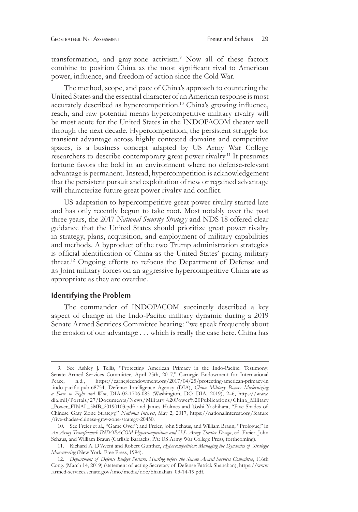transformation, and gray-zone activism.<sup>9</sup> Now all of these factors combine to position China as the most significant rival to American power, influence, and freedom of action since the Cold War.

The method, scope, and pace of China's approach to countering the United States and the essential character of an American response is most accurately described as hypercompetition.<sup>10</sup> China's growing influence, reach, and raw potential means hypercompetitive military rivalry will be most acute for the United States in the INDOPACOM theater well through the next decade. Hypercompetition, the persistent struggle for transient advantage across highly contested domains and competitive spaces, is a business concept adapted by US Army War College researchers to describe contemporary great power rivalry.<sup>11</sup> It presumes fortune favors the bold in an environment where no defense-relevant advantage is permanent. Instead, hypercompetition is acknowledgement that the persistent pursuit and exploitation of new or regained advantage will characterize future great power rivalry and conflict.

US adaptation to hypercompetitive great power rivalry started late and has only recently begun to take root. Most notably over the past three years, the 2017 *National Security Strateg y* and NDS 18 offered clear guidance that the United States should prioritize great power rivalry in strategy, plans, acquisition, and employment of military capabilities and methods. A byproduct of the two Trump administration strategies is official identification of China as the United States' pacing military threat.12 Ongoing efforts to refocus the Department of Defense and its Joint military forces on an aggressive hypercompetitive China are as appropriate as they are overdue.

#### **Identifying the Problem**

The commander of INDOPACOM succinctly described a key aspect of change in the Indo-Pacific military dynamic during a 2019 Senate Armed Services Committee hearing: "we speak frequently about the erosion of our advantage . . . which is really the case here. China has

<sup>9.</sup> See Ashley J. Tellis, "Protecting American Primacy in the Indo-Pacific: Testimony: Senate Armed Services Committee, April 25th, 2017," Carnegie Endowment for International Peace, n.d., [https://carnegieendowment.org/2017/04/25/protecting-american-primacy-in](https://carnegieendowment.org/2017/04/25/protecting-american-primacy-in-indo-pacific-pub-68754) [-indo-pacific-pub-68754](https://carnegieendowment.org/2017/04/25/protecting-american-primacy-in-indo-pacific-pub-68754); Defense Intelligence Agency (DIA), *China Military Power: Modernizing a Force to Fight and Win*, DIA-02-1706-085 (Washington, DC: DIA, 2019), 2–6, [https://www.](https://www.dia.mil/Portals/27/Documents/News/Military%20Power%20Publications/China_Military_Power_FINAL_5MB_20190103.pdf) [dia.mil/Portals/27/Documents/News/Military%20Power%20Publications/China\\_Military](https://www.dia.mil/Portals/27/Documents/News/Military%20Power%20Publications/China_Military_Power_FINAL_5MB_20190103.pdf) [\\_Power\\_FINAL\\_5MB\\_20190103.pdf;](https://www.dia.mil/Portals/27/Documents/News/Military%20Power%20Publications/China_Military_Power_FINAL_5MB_20190103.pdf) and James Holmes and Toshi Yoshihara, "Five Shades of Chinese Gray Zone Strategy," *National Interest*, May 2, 2017, [https://nationalinterest.org/feature](https://nationalinterest.org/feature/five-shades-chinese-gray-zone-strategy-20450) [/five-shades-chinese-gray-zone-strategy-20450](https://nationalinterest.org/feature/five-shades-chinese-gray-zone-strategy-20450).

<sup>10.</sup> See Freier et al., "Game Over"; and Freier, John Schaus, and William Braun, "Prologue," in *An Army Transformed: INDOPACOM Hypercompetition and U.S. Army Theater Design*, ed. Freier, John Schaus, and William Braun (Carlisle Barracks, PA: US Army War College Press, forthcoming).

<sup>11.</sup> Richard A. D'Aveni and Robert Gunther, *Hypercompetition: Managing the Dynamics of Strategic Maneuvering* (New York: Free Press, 1994).

<sup>12.</sup> *Department of Defense Budget Posture: Hearing before the Senate Armed Services Committee*, 116th Cong. (March 14, 2019) (statement of acting Secretary of Defense Patrick Shanahan), [https://www](https://www.armed-services.senate.gov/imo/media/doc/Shanahan_03-14-19.pdf) [.armed-services.senate.gov/imo/media/doc/Shanahan\\_03-14-19.pdf](https://www.armed-services.senate.gov/imo/media/doc/Shanahan_03-14-19.pdf).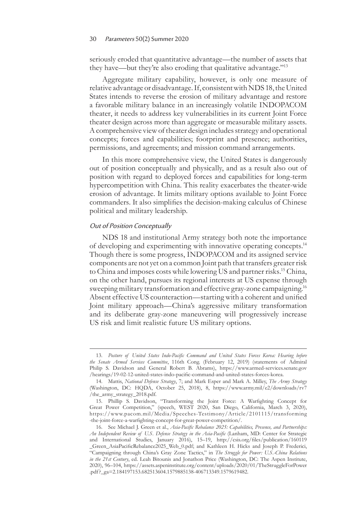seriously eroded that quantitative advantage—the number of assets that they have—but they're also eroding that qualitative advantage."<sup>13</sup>

Aggregate military capability, however, is only one measure of relative advantage or disadvantage. If, consistent with NDS 18, the United States intends to reverse the erosion of military advantage and restore a favorable military balance in an increasingly volatile INDOPACOM theater, it needs to address key vulnerabilities in its current Joint Force theater design across more than aggregate or measurable military assets. A comprehensive view of theater design includes strategy and operational concepts; forces and capabilities; footprint and presence; authorities, permissions, and agreements; and mission command arrangements.

In this more comprehensive view, the United States is dangerously out of position conceptually and physically, and as a result also out of position with regard to deployed forces and capabilities for long-term hypercompetition with China. This reality exacerbates the theater-wide erosion of advantage. It limits military options available to Joint Force commanders. It also simplifies the decision-making calculus of Chinese political and military leadership.

## Out of Position Conceptually

NDS 18 and institutional Army strategy both note the importance of developing and experimenting with innovative operating concepts.14 Though there is some progress, INDOPACOM and its assigned service components are not yet on a common Joint path that transfers greater risk to China and imposes costs while lowering US and partner risks.15 China, on the other hand, pursues its regional interests at US expense through sweeping military transformation and effective gray-zone campaigning.<sup>16</sup> Absent effective US counteraction—starting with a coherent and unified Joint military approach—China's aggressive military transformation and its deliberate gray-zone maneuvering will progressively increase US risk and limit realistic future US military options.

<sup>13.</sup> *Posture of United States Indo-Pacific Command and United States Forces Korea: Hearing before the Senate Armed Services Committee*, 116th Cong. (February 12, 2019) (statements of Admiral Philip S. Davidson and General Robert B. Abrams), [https://www.armed-services.senate.gov](https://www.armed-services.senate.gov/hearings/19-02-12-united-states-indo-pacific-command-and-united-states-forces-korea) [/hearings/19-02-12-united-states-indo-pacific-command-and-united-states-forces-korea](https://www.armed-services.senate.gov/hearings/19-02-12-united-states-indo-pacific-command-and-united-states-forces-korea).

<sup>14.</sup> Mattis, *National Defense Strategy*, 7; and Mark Esper and Mark A. Milley, *The Army Strategy* (Washington, DC: HQDA, October 25, 2018), 8, [https://www.army.mil/e2/downloads/rv7](https://www.army.mil/e2/downloads/rv7/the_army_strategy_2018.pdf) [/the\\_army\\_strategy\\_2018.pdf](https://www.army.mil/e2/downloads/rv7/the_army_strategy_2018.pdf).

<sup>15.</sup> Phillip S. Davidson, "Transforming the Joint Force: A Warfighting Concept for Great Power Competition," (speech, WEST 2020, San Diego, California, March 3, 2020), [https://www.pacom.mil/Media/Speeches-Testimony/Article/2101115/transforming](https://www.pacom.mil/Media/Speeches-Testimony/Article/2101115/transforming-the-joint-force-a-warfighting-concept-for-great-power-competition/) [-the-joint-force-a-warfighting-concept-for-great-power-competition/](https://www.pacom.mil/Media/Speeches-Testimony/Article/2101115/transforming-the-joint-force-a-warfighting-concept-for-great-power-competition/).

<sup>16.</sup> See Michael J. Green et al., *Asia-Pacific Rebalance 2025: Capabilities, Presence, and Partnerships: An Independent Review of U.S. Defense Strategy in the Asia-Pacific* (Lanham, MD: Center for Strategic and International Studies, January 2016), 15–19, [http://csis.org/files/publication/160119](http://csis.org/files/publication/160119_Green_AsiaPacificRebalance2025_Web_0.pdf) [\\_Green\\_AsiaPacificRebalance2025\\_Web\\_0.pdf](http://csis.org/files/publication/160119_Green_AsiaPacificRebalance2025_Web_0.pdf); and Kathleen H. Hicks and Joseph P. Frederici, "Campaigning through China's Gray Zone Tactics," in *The Struggle for Power: U.S.-China Relations in the 21st Century*, ed. Leah Bitounis and Jonathon Price (Washington, DC: The Aspen Institute, 2020), 96–104, [https://assets.aspeninstitute.org/content/uploads/2020/01/TheStruggleForPower](https://assets.aspeninstitute.org/content/uploads/2020/01/TheStruggleForPower.pdf?_ga=2.184197153.682513604.1579885138-406713349.1579619482) [.pdf?\\_ga=2.184197153.682513604.1579885138-406713349.1579619482](https://assets.aspeninstitute.org/content/uploads/2020/01/TheStruggleForPower.pdf?_ga=2.184197153.682513604.1579885138-406713349.1579619482).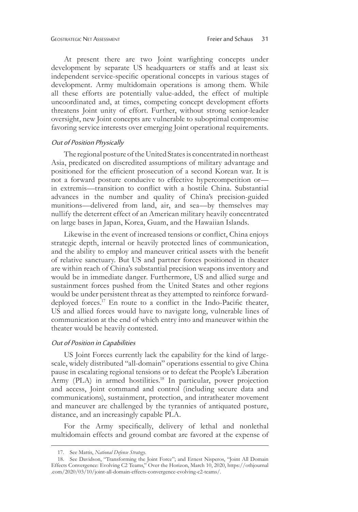At present there are two Joint warfighting concepts under development by separate US headquarters or staffs and at least six independent service-specific operational concepts in various stages of development. Army multidomain operations is among them. While all these efforts are potentially value-added, the effect of multiple uncoordinated and, at times, competing concept development efforts threatens Joint unity of effort. Further, without strong senior-leader oversight, new Joint concepts are vulnerable to suboptimal compromise favoring service interests over emerging Joint operational requirements.

# Out of Position Physically

The regional posture of the United States is concentrated in northeast Asia, predicated on discredited assumptions of military advantage and positioned for the efficient prosecution of a second Korean war. It is not a forward posture conducive to effective hypercompetition or in extremis—transition to conflict with a hostile China. Substantial advances in the number and quality of China's precision-guided munitions—delivered from land, air, and sea—by themselves may nullify the deterrent effect of an American military heavily concentrated on large bases in Japan, Korea, Guam, and the Hawaiian Islands.

Likewise in the event of increased tensions or conflict, China enjoys strategic depth, internal or heavily protected lines of communication, and the ability to employ and maneuver critical assets with the benefit of relative sanctuary. But US and partner forces positioned in theater are within reach of China's substantial precision weapons inventory and would be in immediate danger. Furthermore, US and allied surge and sustainment forces pushed from the United States and other regions would be under persistent threat as they attempted to reinforce forwarddeployed forces.<sup>17</sup> En route to a conflict in the Indo-Pacific theater, US and allied forces would have to navigate long, vulnerable lines of communication at the end of which entry into and maneuver within the theater would be heavily contested.

#### Out of Position in Capabilities

US Joint Forces currently lack the capability for the kind of largescale, widely distributed "all-domain" operations essential to give China pause in escalating regional tensions or to defeat the People's Liberation Army (PLA) in armed hostilities.<sup>18</sup> In particular, power projection and access, Joint command and control (including secure data and communications), sustainment, protection, and intratheater movement and maneuver are challenged by the tyrannies of antiquated posture, distance, and an increasingly capable PLA.

For the Army specifically, delivery of lethal and nonlethal multidomain effects and ground combat are favored at the expense of

<sup>17.</sup> See Mattis, *National Defense Strategy*.

<sup>18.</sup> See Davidson, "Transforming the Joint Force"; and Ernest Nisperos, "Joint All Domain Effects Convergence: Evolving C2 Teams," Over the Horizon, March 10, 2020, [https://othjournal](https://othjournal.com/2020/03/10/joint-all-domain-effects-convergence-evolving-c2-teams/) [.com/2020/03/10/joint-all-domain-effects-convergence-evolving-c2-teams/](https://othjournal.com/2020/03/10/joint-all-domain-effects-convergence-evolving-c2-teams/).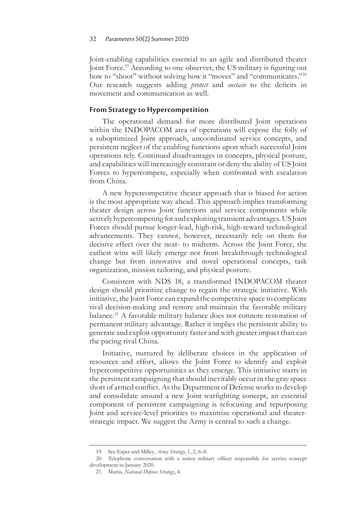Joint-enabling capabilities essential to an agile and distributed theater Joint Force.<sup>19</sup> According to one observer, the US military is figuring out how to "shoot" without solving how it "moves" and "communicates."<sup>20</sup> Our research suggests adding *protect* and *sustain* to the deficits in movement and communication as well.

# **From Strategy to Hypercompetition**

The operational demand for more distributed Joint operations within the INDOPACOM area of operations will expose the folly of a suboptimized Joint approach, uncoordinated service concepts, and persistent neglect of the enabling functions upon which successful Joint operations rely. Continued disadvantages in concepts, physical posture, and capabilities will increasingly constrain or deny the ability of US Joint Forces to hypercompete, especially when confronted with escalation from China.

A new hypercompetitive theater approach that is biased for action is the most appropriate way ahead. This approach implies transforming theater design across Joint functions and service components while actively hypercompeting for and exploiting transient advantages. US Joint Forces should pursue longer-lead, high-risk, high-reward technological advancements. They cannot, however, necessarily rely on them for decisive effect over the near- to midterm. Across the Joint Force, the earliest wins will likely emerge not from breakthrough technological change but from innovative and novel operational concepts, task organization, mission tailoring, and physical posture.

Consistent with NDS 18, a transformed INDOPACOM theater design should prioritize change to regain the strategic initiative. With initiative, the Joint Force can expand the competitive space to complicate rival decision-making and restore and maintain the favorable military balance.21 A favorable military balance does not connote restoration of permanent military advantage. Rather it implies the persistent ability to generate and exploit opportunity faster and with greater impact than can the pacing rival China.

Initiative, nurtured by deliberate choices in the application of resources and effort, allows the Joint Force to identify and exploit hypercompetitive opportunities as they emerge. This initiative starts in the persistent campaigning that should inevitably occur in the gray space short of armed conflict. As the Department of Defense works to develop and consolidate around a new Joint warfighting concept, an essential component of persistent campaigning is refocusing and repurposing Joint and service-level priorities to maximize operational and theaterstrategic impact. We suggest the Army is central to such a change.

<sup>19.</sup> See Esper and Milley, *Army Strategy*, 1, 2, 6–8.

<sup>20.</sup> Telephone conversation with a senior military officer responsible for service concept development in January 2020.

<sup>21.</sup> Mattis, *National Defense Strategy*, 4.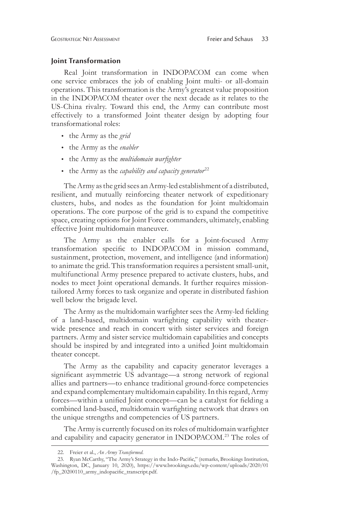#### **Joint Transformation**

Real Joint transformation in INDOPACOM can come when one service embraces the job of enabling Joint multi- or all-domain operations. This transformation is the Army's greatest value proposition in the INDOPACOM theater over the next decade as it relates to the US-China rivalry. Toward this end, the Army can contribute most effectively to a transformed Joint theater design by adopting four transformational roles:

- the Army as the *grid*
- the Army as the *enabler*
- the Army as the *multidomain warfighter*
- the Army as the *capability and capacity generator*<sup>22</sup>

The Army as the grid sees an Army-led establishment of a distributed, resilient, and mutually reinforcing theater network of expeditionary clusters, hubs, and nodes as the foundation for Joint multidomain operations. The core purpose of the grid is to expand the competitive space, creating options for Joint Force commanders, ultimately, enabling effective Joint multidomain maneuver.

The Army as the enabler calls for a Joint-focused Army transformation specific to INDOPACOM in mission command, sustainment, protection, movement, and intelligence (and information) to animate the grid. This transformation requires a persistent small-unit, multifunctional Army presence prepared to activate clusters, hubs, and nodes to meet Joint operational demands. It further requires missiontailored Army forces to task organize and operate in distributed fashion well below the brigade level.

The Army as the multidomain warfighter sees the Army-led fielding of a land-based, multidomain warfighting capability with theaterwide presence and reach in concert with sister services and foreign partners. Army and sister service multidomain capabilities and concepts should be inspired by and integrated into a unified Joint multidomain theater concept.

The Army as the capability and capacity generator leverages a significant asymmetric US advantage—a strong network of regional allies and partners—to enhance traditional ground-force competencies and expand complementary multidomain capability. In this regard, Army forces—within a unified Joint concept—can be a catalyst for fielding a combined land-based, multidomain warfighting network that draws on the unique strengths and competencies of US partners.

The Army is currently focused on its roles of multidomain warfighter and capability and capacity generator in INDOPACOM.23 The roles of

<sup>22.</sup> Freier et al., *An Army Transformed*.

<sup>23.</sup> Ryan McCarthy, "The Army's Strategy in the Indo-Pacific," (remarks, Brookings Institution, Washington, DC, January 10, 2020), [https://www.brookings.edu/wp-content/uploads/2020/01](https://www.brookings.edu/wp-content/uploads/2020/01/fp_20200110_army_indopacific_transcript.pdf) [/fp\\_20200110\\_army\\_indopacific\\_transcript.pdf](https://www.brookings.edu/wp-content/uploads/2020/01/fp_20200110_army_indopacific_transcript.pdf).